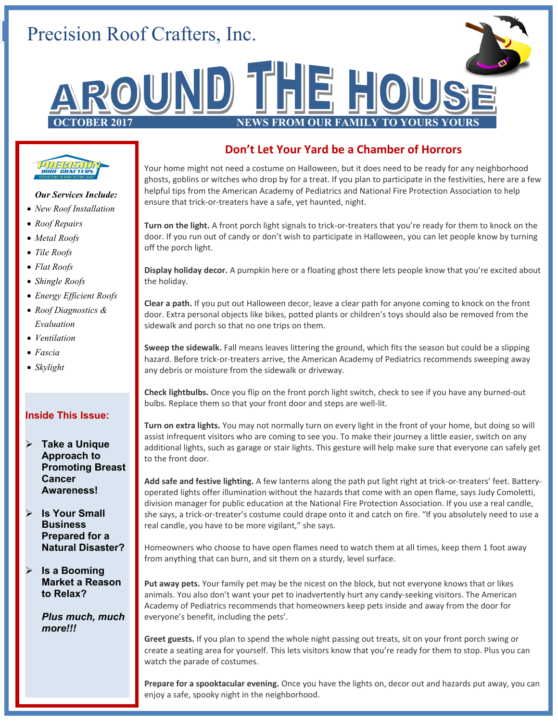# Precision Roof Crafters, Inc.





#### *Our Services Include:*

- *New Roof Installation*
- *Roof Repairs*
- *Metal Roofs*
- *Tile Roofs*
- *Flat Roofs*
- *Shingle Roofs*
- *Energy Efficient Roofs*
- *Roof Diagnostics & Evaluation*
- *Ventilation*
- *Fascia*
- *Skylight*

#### **Inside This Issue:**

- **Take a Unique Approach to Promoting Breast Cancer Awareness!**
- **Is Your Small Business Prepared for a Natural Disaster?**
- **Is a Booming Market a Reason to Relax?**

*Plus much, much more!!!*

## **Don't Let Your Yard be a Chamber of Horrors**

Your home might not need a costume on Halloween, but it does need to be ready for any neighborhood ghosts, goblins or witches who drop by for a treat. If you plan to participate in the festivities, here are a few helpful tips from the American Academy of Pediatrics and National Fire Protection Association to help ensure that trick-or-treaters have a safe, yet haunted, night.

**Turn on the light.** A front porch light signals to trick-or-treaters that you're ready for them to knock on the door. If you run out of candy or don't wish to participate in Halloween, you can let people know by turning off the porch light.

**Display holiday decor.** A pumpkin here or a floating ghost there lets people know that you're excited about the holiday.

**Clear a path.** If you put out Halloween decor, leave a clear path for anyone coming to knock on the front door. Extra personal objects like bikes, potted plants or children's toys should also be removed from the sidewalk and porch so that no one trips on them.

**Sweep the sidewalk.** Fall means leaves littering the ground, which fits the season but could be a slipping hazard. Before trick-or-treaters arrive, the American Academy of Pediatrics recommends sweeping away any debris or moisture from the sidewalk or driveway.

**Check lightbulbs.** Once you flip on the front porch light switch, check to see if you have any burned-out bulbs. Replace them so that your front door and steps are well-lit.

**Turn on extra lights.** You may not normally turn on every light in the front of your home, but doing so will assist infrequent visitors who are coming to see you. To make their journey a little easier, switch on any additional lights, such as garage or stair lights. This gesture will help make sure that everyone can safely get to the front door.

**Add safe and festive lighting.** A few lanterns along the path put light right at trick-or-treaters' feet. Batteryoperated lights offer illumination without the hazards that come with an open flame, says Judy Comoletti, division manager for public education at the National Fire Protection Association. If you use a real candle, she says, a trick-or-treater's costume could drape onto it and catch on fire. "If you absolutely need to use a real candle, you have to be more vigilant," she says.

Homeowners who choose to have open flames need to watch them at all times, keep them 1 foot away from anything that can burn, and sit them on a sturdy, level surface.

**Put away pets.** Your family pet may be the nicest on the block, but not everyone knows that or likes animals. You also don't want your pet to inadvertently hurt any candy-seeking visitors. The American Academy of Pediatrics recommends that homeowners keep pets inside and away from the door for everyone's benefit, including the pets'.

**Greet guests.** If you plan to spend the whole night passing out treats, sit on your front porch swing or create a seating area for yourself. This lets visitors know that you're ready for them to stop. Plus you can watch the parade of costumes.

**Prepare for a spooktacular evening.** Once you have the lights on, decor out and hazards put away, you can enjoy a safe, spooky night in the neighborhood.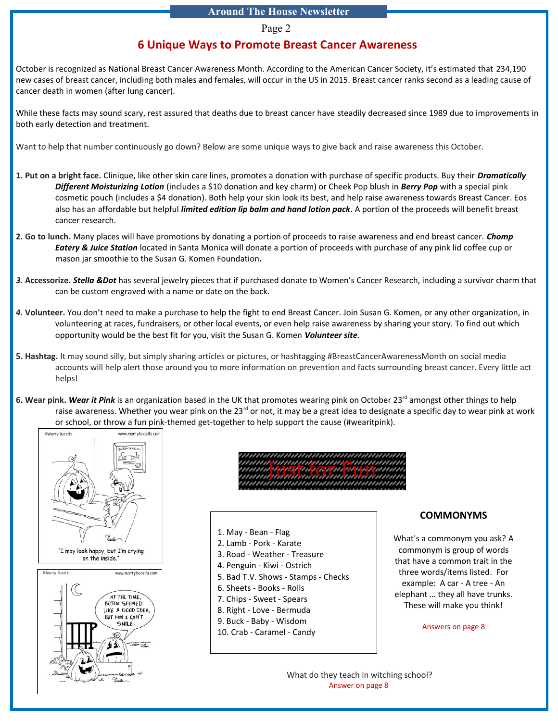#### Page 2

#### **6 Unique Ways to Promote Breast Cancer Awareness**

October is recognized as National Breast Cancer Awareness Month. According to the American Cancer Society, it's estimated that [234,190](http://www.cancer.org/acs/groups/content/@editorial/documents/document/acspc-044552.pdf)  [new cases](http://www.cancer.org/acs/groups/content/@editorial/documents/document/acspc-044552.pdf) of breast cancer, including both males and females, will occur in the US in 2015. Breast cancer ranks second as a leading cause of cancer death in women (after lung cancer).

While these facts may sound scary, rest assured that deaths due to breast cancer have [steadily decreased since 1989](http://www.cancer.org/acs/groups/content/@editorial/documents/document/acspc-044552.pdf) due to improvements in both early detection and treatment.

Want to help that number continuously go down? Below are some unique ways to give back and raise awareness this October.

- **1. Put on a bright face.** Clinique, like other skin care lines, promotes a donation with purchase of specific products. Buy their *[Dramatically](http://www.clinique.com/product/7502/38194/BCA/Great-Skin-Great-Cause/2015)  [Different Moisturizing Lotion](http://www.clinique.com/product/7502/38194/BCA/Great-Skin-Great-Cause/2015)* (includes a \$10 donation and key charm) or Cheek Pop blush in *[Berry Pop](http://www.clinique.com/product/4323/38193/Just-Arrived/Pink-with-a-Purpose-Cheek-Pop/2015)* with a special pink cosmetic pouch (includes a \$4 donation). Both help your skin look its best, and help raise awareness towards Breast Cancer. Eos also has an affordable but helpful *[limited edition lip balm and hand lotion pack](http://evolutionofsmooth.com/limited-edition/2014-eos-bca-collection.html)*. A portion of the proceeds will benefit breast cancer research.
- **2. Go to lunch.** Many places will have promotions by donating a portion of proceeds to raise awareness and end breast cancer. *[Chomp](http://www.yelp.com/biz/chomp-eatery-and-juice-station-santa-monica-2)  [Eatery & Juice Station](http://www.yelp.com/biz/chomp-eatery-and-juice-station-santa-monica-2)* located in Santa Monica will donate a portion of proceeds with purchase of any pink lid coffee cup or mason jar smoothie to the Susan G. Komen Foundation*.*
- *3.* **Accessorize.** *[Stella &Dot](http://www.stelladot.com/shop/en_us/search?q=breast+cancer)* has several jewelry pieces that if purchased donate to Women's Cancer Research, including a survivor charm that can be custom engraved with a name or date on the back.
- *4.* **Volunteer.** You don't need to make a purchase to help the fight to end Breast Cancer. Join Susan G. Komen, or any other organization, in volunteering at races, fundraisers, or other local events, or even help raise awareness by sharing your story. To find out which opportunity would be the best fit for you, visit the Susan G. Komen *[Volunteer site](http://ww5.komen.org/GetInvolved/Participate/Volunteer/Volunteer.html)*.
- **5. Hashtag.** It may sound silly, but simply sharing articles or pictures, or hashtagging #BreastCancerAwarenessMonth on social media accounts will help alert those around you to more information on prevention and facts surrounding breast cancer. Every little act helps!
- 6. Wear pink. [Wear it Pink](http://wearitpink.org/) is an organization based in the UK that promotes wearing pink on October 23<sup>rd</sup> amongst other things to help raise awareness. Whether you wear pink on the 23<sup>rd</sup> or not, it may be a great idea to designate a specific day to wear pink at work or school, or throw a fun pink-themed get-together to help support the cause (#wearitpink).



Just for Fun

1. May - Bean - Flag 2. Lamb - Pork - Karate 3. Road - Weather - Treasure 4. Penguin - Kiwi - Ostrich 5. Bad T.V. Shows - Stamps - Checks 6. Sheets - Books - Rolls 7. Chips - Sweet - Spears 8. Right - Love - Bermuda 9. Buck - Baby - Wisdom 10. Crab - Caramel - Candy

#### **COMMONYMS**

What's a commonym you ask? A commonym is group of words that have a common trait in the three words/items listed. For example: A car - A tree - An elephant … they all have trunks. These will make you think!

Answers on page 8

What do they teach in witching school? Answer on page 8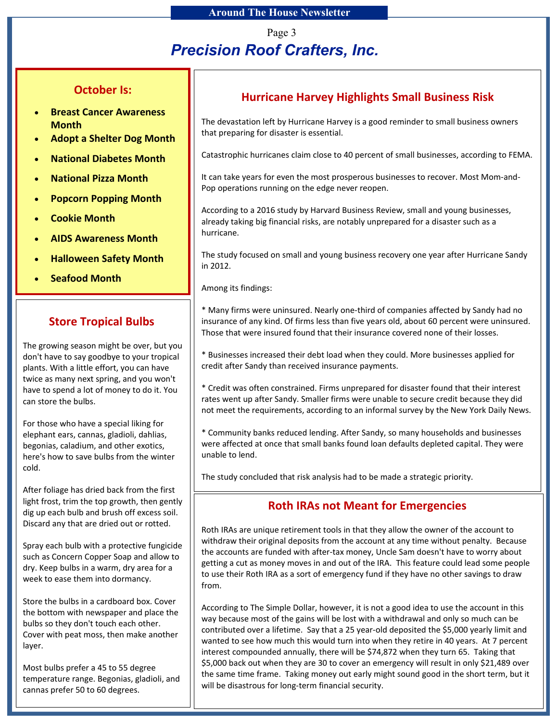Page 3

# *Precision Roof Crafters, Inc.*

## **October Is:**

- **Breast Cancer Awareness Month**
- **Adopt a Shelter Dog Month**
- **National Diabetes Month**
- **National Pizza Month**
- **Popcorn Popping Month**
- **Cookie Month**
- **AIDS Awareness Month**
- **Halloween Safety Month**
- **Seafood Month**

## **Store Tropical Bulbs**

The growing season might be over, but you don't have to say goodbye to your tropical plants. With a little effort, you can have twice as many next spring, and you won't have to spend a lot of money to do it. You can store the bulbs.

For those who have a special liking for elephant ears, cannas, gladioli, dahlias, begonias, caladium, and other exotics, here's how to save bulbs from the winter cold.

After foliage has dried back from the first light frost, trim the top growth, then gently dig up each bulb and brush off excess soil. Discard any that are dried out or rotted.

Spray each bulb with a protective fungicide such as Concern Copper Soap and allow to dry. Keep bulbs in a warm, dry area for a week to ease them into dormancy.

Store the bulbs in a cardboard box. Cover the bottom with newspaper and place the bulbs so they don't touch each other. Cover with peat moss, then make another layer.

Most bulbs prefer a 45 to 55 degree temperature range. Begonias, gladioli, and cannas prefer 50 to 60 degrees.

## **Hurricane Harvey Highlights Small Business Risk**

The devastation left by Hurricane Harvey is a good reminder to small business owners that preparing for disaster is essential.

Catastrophic hurricanes claim close to 40 percent of small businesses, according to FEMA.

It can take years for even the most prosperous businesses to recover. Most Mom-and-Pop operations running on the edge never reopen.

According to a 2016 study by Harvard Business Review, small and young businesses, already taking big financial risks, are notably unprepared for a disaster such as a hurricane.

The study focused on small and young business recovery one year after Hurricane Sandy in 2012.

Among its findings:

\* Many firms were uninsured. Nearly one-third of companies affected by Sandy had no insurance of any kind. Of firms less than five years old, about 60 percent were uninsured. Those that were insured found that their insurance covered none of their losses.

\* Businesses increased their debt load when they could. More businesses applied for credit after Sandy than received insurance payments.

\* Credit was often constrained. Firms unprepared for disaster found that their interest rates went up after Sandy. Smaller firms were unable to secure credit because they did not meet the requirements, according to an informal survey by the New York Daily News.

\* Community banks reduced lending. After Sandy, so many households and businesses were affected at once that small banks found loan defaults depleted capital. They were unable to lend.

The study concluded that risk analysis had to be made a strategic priority.

## **Roth IRAs not Meant for Emergencies**

Roth IRAs are unique retirement tools in that they allow the owner of the account to withdraw their original deposits from the account at any time without penalty. Because the accounts are funded with after-tax money, Uncle Sam doesn't have to worry about getting a cut as money moves in and out of the IRA. This feature could lead some people to use their Roth IRA as a sort of emergency fund if they have no other savings to draw from.

According to The Simple Dollar, however, it is not a good idea to use the account in this way because most of the gains will be lost with a withdrawal and only so much can be contributed over a lifetime. Say that a 25 year-old deposited the \$5,000 yearly limit and wanted to see how much this would turn into when they retire in 40 years. At 7 percent interest compounded annually, there will be \$74,872 when they turn 65. Taking that \$5,000 back out when they are 30 to cover an emergency will result in only \$21,489 over the same time frame. Taking money out early might sound good in the short term, but it will be disastrous for long-term financial security.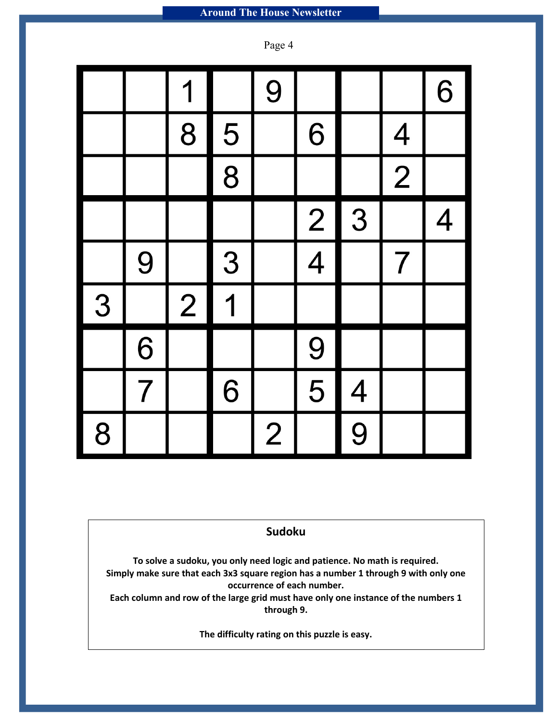Page 4

|   |                | 1              |                         | 9              |               |                          |                          | 6                        |
|---|----------------|----------------|-------------------------|----------------|---------------|--------------------------|--------------------------|--------------------------|
|   |                | 8              | $\frac{5}{1}$           |                | 6             |                          | $\overline{\mathcal{A}}$ |                          |
|   |                |                | $\overline{8}$          |                |               |                          | $\overline{\mathbf{2}}$  |                          |
|   |                |                |                         |                | $\frac{2}{4}$ | 3                        |                          | $\overline{\mathcal{A}}$ |
|   | 9              |                | 3                       |                |               |                          | $\overline{7}$           |                          |
| 3 |                | $\overline{2}$ | $\overline{\mathbf{1}}$ |                |               |                          |                          |                          |
|   | 6              |                |                         |                | 9             |                          |                          |                          |
|   | $\overline{7}$ |                | 6                       |                | 5             | $\overline{\mathcal{A}}$ |                          |                          |
| 8 |                |                |                         | $\overline{2}$ |               | $\overline{9}$           |                          |                          |

## **Sudoku**

**To solve a sudoku, you only need logic and patience. No math is required. Simply make sure that each 3x3 square region has a number 1 through 9 with only one occurrence of each number.**

**Each column and row of the large grid must have only one instance of the numbers 1 through 9.**

**The difficulty rating on this puzzle is easy.**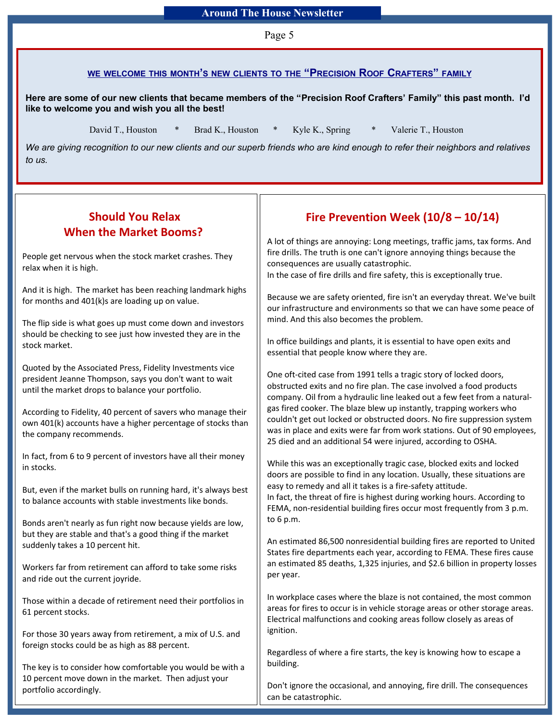Page 5

#### **WE WELCOME THIS MONTH'S NEW CLIENTS TO THE " PRECISION ROOF CRAFTERS" FAMILY**

**Here are some of our new clients that became members of the "Precision Roof Crafters' Family" this past month. I'd like to welcome you and wish you all the best!**

David T., Houston \* Brad K., Houston \* Kyle K., Spring \* Valerie T., Houston

*We are giving recognition to our new clients and our superb friends who are kind enough to refer their neighbors and relatives to us.*

## **Should You Relax When the Market Booms?**

People get nervous when the stock market crashes. They relax when it is high.

And it is high. The market has been reaching landmark highs for months and 401(k)s are loading up on value.

The flip side is what goes up must come down and investors should be checking to see just how invested they are in the stock market.

Quoted by the Associated Press, Fidelity Investments vice president Jeanne Thompson, says you don't want to wait until the market drops to balance your portfolio.

According to Fidelity, 40 percent of savers who manage their own 401(k) accounts have a higher percentage of stocks than the company recommends.

In fact, from 6 to 9 percent of investors have all their money in stocks.

But, even if the market bulls on running hard, it's always best to balance accounts with stable investments like bonds.

Bonds aren't nearly as fun right now because yields are low, but they are stable and that's a good thing if the market suddenly takes a 10 percent hit.

Workers far from retirement can afford to take some risks and ride out the current joyride.

Those within a decade of retirement need their portfolios in 61 percent stocks.

For those 30 years away from retirement, a mix of U.S. and foreign stocks could be as high as 88 percent.

The key is to consider how comfortable you would be with a 10 percent move down in the market. Then adjust your portfolio accordingly.

## **Fire Prevention Week (10/8 – 10/14)**

A lot of things are annoying: Long meetings, traffic jams, tax forms. And fire drills. The truth is one can't ignore annoying things because the consequences are usually catastrophic. In the case of fire drills and fire safety, this is exceptionally true.

Because we are safety oriented, fire isn't an everyday threat. We've built our infrastructure and environments so that we can have some peace of

In office buildings and plants, it is essential to have open exits and essential that people know where they are.

mind. And this also becomes the problem.

One oft-cited case from 1991 tells a tragic story of locked doors, obstructed exits and no fire plan. The case involved a food products company. Oil from a hydraulic line leaked out a few feet from a naturalgas fired cooker. The blaze blew up instantly, trapping workers who couldn't get out locked or obstructed doors. No fire suppression system was in place and exits were far from work stations. Out of 90 employees, 25 died and an additional 54 were injured, according to OSHA.

While this was an exceptionally tragic case, blocked exits and locked doors are possible to find in any location. Usually, these situations are easy to remedy and all it takes is a fire-safety attitude.

In fact, the threat of fire is highest during working hours. According to FEMA, non-residential building fires occur most frequently from 3 p.m. to 6 p.m.

An estimated 86,500 nonresidential building fires are reported to United States fire departments each year, according to FEMA. These fires cause an estimated 85 deaths, 1,325 injuries, and \$2.6 billion in property losses per year.

In workplace cases where the blaze is not contained, the most common areas for fires to occur is in vehicle storage areas or other storage areas. Electrical malfunctions and cooking areas follow closely as areas of ignition.

Regardless of where a fire starts, the key is knowing how to escape a building.

Don't ignore the occasional, and annoying, fire drill. The consequences can be catastrophic.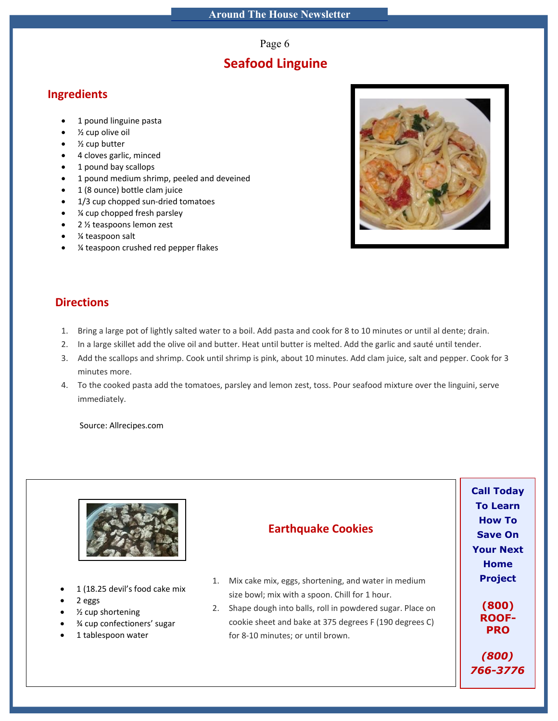Page 6

## **Seafood Linguine**

#### **Ingredients**

- 1 pound linguine pasta
- ½ cup olive oil
- ½ cup butter
- 4 cloves garlic, minced
- 1 pound bay scallops
- 1 pound medium shrimp, peeled and deveined
- 1 (8 ounce) bottle clam juice
- 1/3 cup chopped sun-dried tomatoes
- ¼ cup chopped fresh parsley
- 2 ½ teaspoons lemon zest
- ¼ teaspoon salt
- ¼ teaspoon crushed red pepper flakes



## **Directions**

- 1. Bring a large pot of lightly salted water to a boil. Add pasta and cook for 8 to 10 minutes or until al dente; drain.
- 2. In a large skillet add the olive oil and butter. Heat until butter is melted. Add the garlic and sauté until tender.
- 3. Add the scallops and shrimp. Cook until shrimp is pink, about 10 minutes. Add clam juice, salt and pepper. Cook for 3 minutes more.
- 4. To the cooked pasta add the tomatoes, parsley and lemon zest, toss. Pour seafood mixture over the linguini, serve immediately.

Source: Allrecipes.com

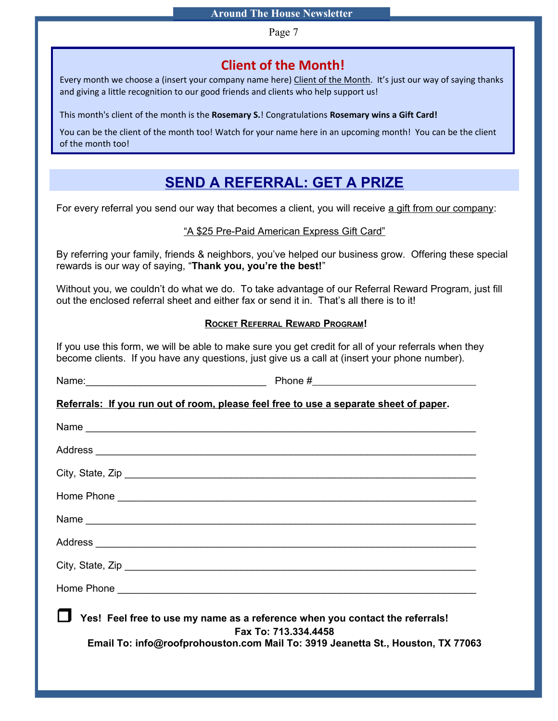Page 7

## **Client of the Month!**

Every month we choose a (insert your company name here) Client of the Month. It's just our way of saying thanks and giving a little recognition to our good friends and clients who help support us!

This month's client of the month is the **Rosemary S.**! Congratulations **Rosemary wins a Gift Card!**

You can be the client of the month too! Watch for your name here in an upcoming month! You can be the client of the month too!

## **SEND A REFERRAL: GET A PRIZE**

For every referral you send our way that becomes a client, you will receive a gift from our company:

#### "A \$25 Pre-Paid American Express Gift Card"

By referring your family, friends & neighbors, you've helped our business grow. Offering these special rewards is our way of saying, "**Thank you, you're the best!**"

Without you, we couldn't do what we do. To take advantage of our Referral Reward Program, just fill out the enclosed referral sheet and either fax or send it in. That's all there is to it!

#### **ROCKET REFERRAL REWARD PROGRAM!**

If you use this form, we will be able to make sure you get credit for all of your referrals when they become clients. If you have any questions, just give us a call at (insert your phone number).

| Referrals: If you run out of room, please feel free to use a separate sheet of paper. |                                                                                                         |
|---------------------------------------------------------------------------------------|---------------------------------------------------------------------------------------------------------|
|                                                                                       |                                                                                                         |
|                                                                                       |                                                                                                         |
|                                                                                       |                                                                                                         |
|                                                                                       |                                                                                                         |
|                                                                                       |                                                                                                         |
|                                                                                       |                                                                                                         |
|                                                                                       |                                                                                                         |
|                                                                                       |                                                                                                         |
| Yes! Feel free to use my name as a reference when you contact the referrals!          | Fax To: 713.334.4458<br>Email To: info@roofprohouston.com Mail To: 3919 Jeanetta St., Houston, TX 77063 |